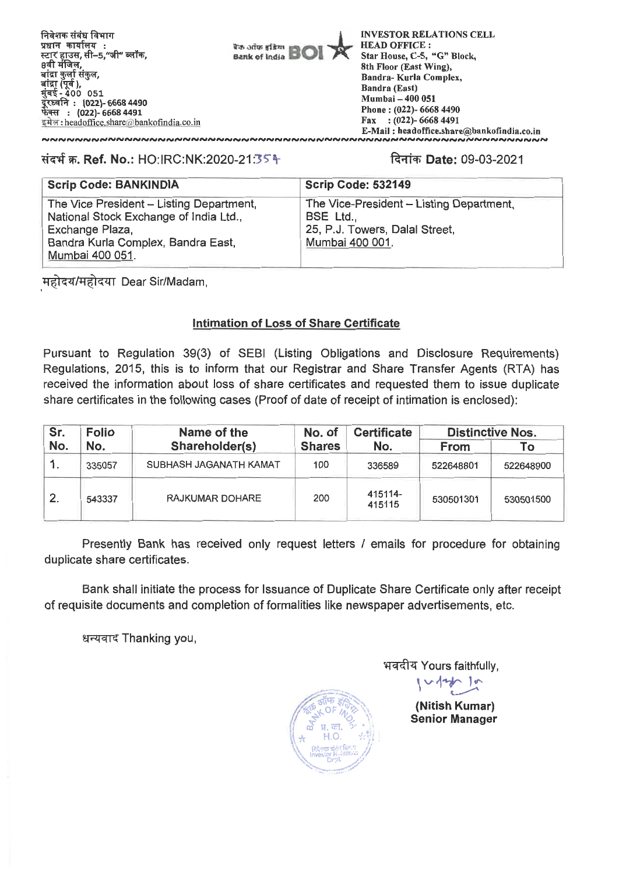**INVESTOR RELATIONS CELL HEAD OFFICE : Star House, C-5, "G" Block, 8th Floor (East Wing), Bandra- Kuria Complex, Bandra (East) Mumbai — 400 051 Phone : (022)- 6668 4490 Fax : (022)- 6668 4491 E-Mail : headoffice.share@bankofindia.co.in** 

#### **ItIlf W. Ref. No.:** HO:IRC:NK:2020-21:35-4 **ftqfW Date:** 09-03-2021

,,,,,,,,,,,,,,,,,,,,,,,,,,,,,,,,,,,,,

| <b>Scrip Code: BANKINDIA</b>                                                                                                                                   | <b>Scrip Code: 532149</b>                                                                                  |
|----------------------------------------------------------------------------------------------------------------------------------------------------------------|------------------------------------------------------------------------------------------------------------|
| The Vice President - Listing Department,<br>National Stock Exchange of India Ltd.,<br>Exchange Plaza,<br>Bandra Kurla Complex, Bandra East,<br>Mumbai 400 051. | The Vice-President - Listing Department,<br>BSE Ltd.,<br>25, P.J. Towers, Dalal Street,<br>Mumbai 400 001. |

**T-1\*-4-4/TIP7T Dear Sir/Madam,** 

### **Intimation of Loss of Share Certificate**

**Pursuant to Regulation 39(3) of SEBI (Listing Obligations and Disclosure Requirements) Regulations, 2015, this is to inform that our Registrar and Share Transfer Agents (RTA) has received the information about loss of share certificates and requested them to issue duplicate share certificates in the following cases (Proof of date of receipt of intimation** is enclosed):

| Sr. | <b>Folio</b> | Name of the            | No. of        | <b>Certificate</b> | <b>Distinctive Nos.</b> |           |  |
|-----|--------------|------------------------|---------------|--------------------|-------------------------|-----------|--|
| No. | No.          | Shareholder(s)         | <b>Shares</b> | No.                | From                    | Τo        |  |
|     | 335057       | SUBHASH JAGANATH KAMAT | 100           | 336589             | 522648801               | 522648900 |  |
| 2.  | 543337       | <b>RAJKUMAR DOHARE</b> | 200           | 415114-<br>415115  | 530501301               | 530501500 |  |

**Presently Bank has received only request letters / emails for procedure for obtaining duplicate share certificates.** 

**Bank shall initiate the process for Issuance of Duplicate Share Certificate only after receipt of requisite documents and completion of formalities like newspaper advertisements, etc.** 

**tiwr-4T Thanking you,** 



**Yours faithfully,** 

**(Nitish Kumar) Senior Manager** 

 $4 \sim 1$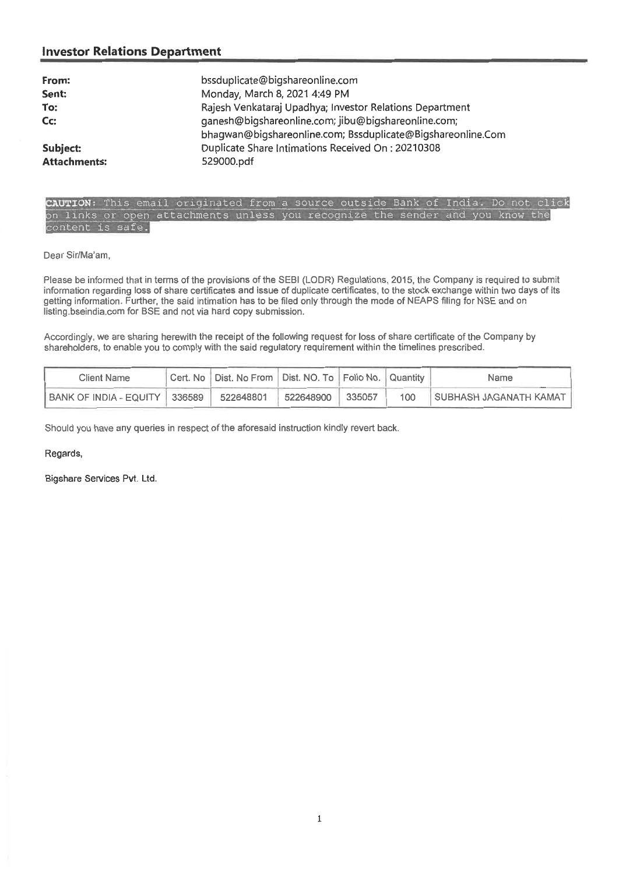#### **Investor Relations Department**

| From:<br>Sent:<br>To:<br>Cc:    | bssduplicate@bigshareonline.com<br>Monday, March 8, 2021 4:49 PM<br>Rajesh Venkataraj Upadhya; Investor Relations Department<br>ganesh@bigshareonline.com; jibu@bigshareonline.com;<br>bhaqwan@bigshareonline.com; Bssduplicate@Bigshareonline.Com<br>Duplicate Share Intimations Received On: 20210308 |
|---------------------------------|---------------------------------------------------------------------------------------------------------------------------------------------------------------------------------------------------------------------------------------------------------------------------------------------------------|
| Subject:<br><b>Attachments:</b> | 529000.pdf                                                                                                                                                                                                                                                                                              |
|                                 |                                                                                                                                                                                                                                                                                                         |



**Dear Sir/Ma'am,** 

**Please be informed that in terms of the provisions of the SEBI (LODR) Regulations, 2015, the Company is required to submit information regarding loss of share certificates and issue of duplicate certificates, to the stock exchange within two days of its getting information. Further, the said intimation has to be filed only through the mode of NEAPS filing for NSE and on listing.bseindia.comfor BSE and not via hard copy submission.** 

Accordingly, we are sharing herewith the receipt of the following request for loss of share certificate of the Company by shareholders, to **enable you** to **comply with the said regulatory requirement within the timelines prescribed.** 

| Client Name                     | Cert. No   Dist. No From   Dist. NO. To   Folio No.   Quantity |           |        |     | Name                       |
|---------------------------------|----------------------------------------------------------------|-----------|--------|-----|----------------------------|
| BANK OF INDIA - EQUITY   336589 | 522648801                                                      | 522648900 | 335057 | 100 | ! SUBHASH JAGANATH KAMAT ∥ |

Should you have any queries in respect of the aforesaid instruction kindly revert back.

Regards,

Bigshare Services Pvt. Ltd.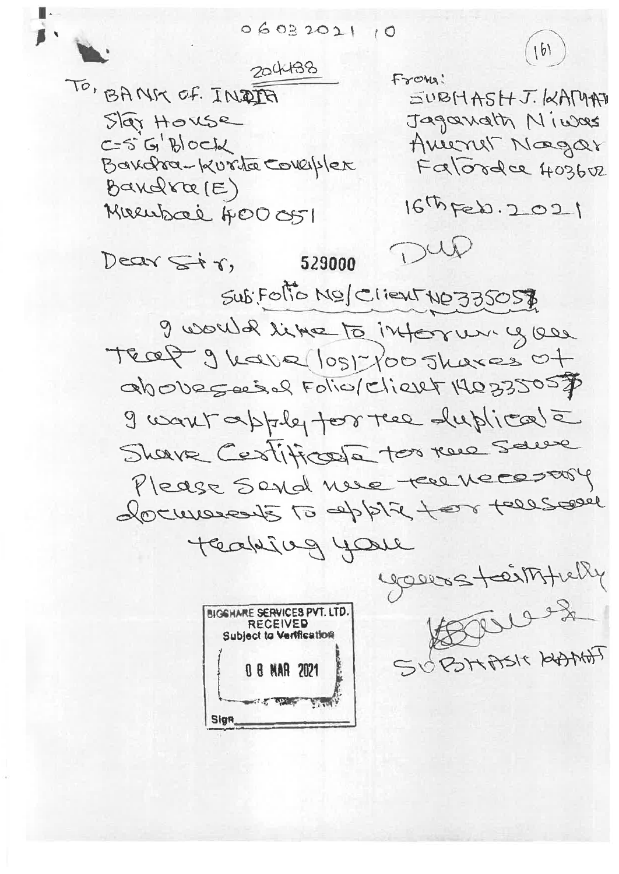$(16)$ 204438 From: TO, BANK OF INDIA JUBHASHJ.KAMAN Star House Jaganath Niwas  $CS'G'B'OCJd$ Ameryt Nogar Bandra-Kurta Coverplex Falorder 403602 Bandra (E)  $167656.2021$ Mueubai 400 051 DUD Decar Str, 529000 Sub Foto MO/ Client NO 335057 9 would like to inform you Teat 9 have lost foo shares of above social Folio/Client 140335057 I want apply for the duplicate Shave Cestificate too rue saure Please Sond nue tere necessary documents to applie to tells are Teaking your yours teinthely  $\bigoplus_{\alpha\in\mathbb{C}}\mathbb{C}\cup\mathbb{C}\cup\mathbb{C}^{\mathbb{C}}\bigoplus_{\alpha\in\mathbb{C}}\mathbb{C}\cup\mathbb{C}\cup\mathbb{C}^{\mathbb{C}}$ **BIGGHARE SERVICES PVT. LTD. RECEIVED Subject to Vertification** SUBHASK HAMAT 0 8 MAR 2021 THE SPACE VIEW Sign

 $06032021$  $10$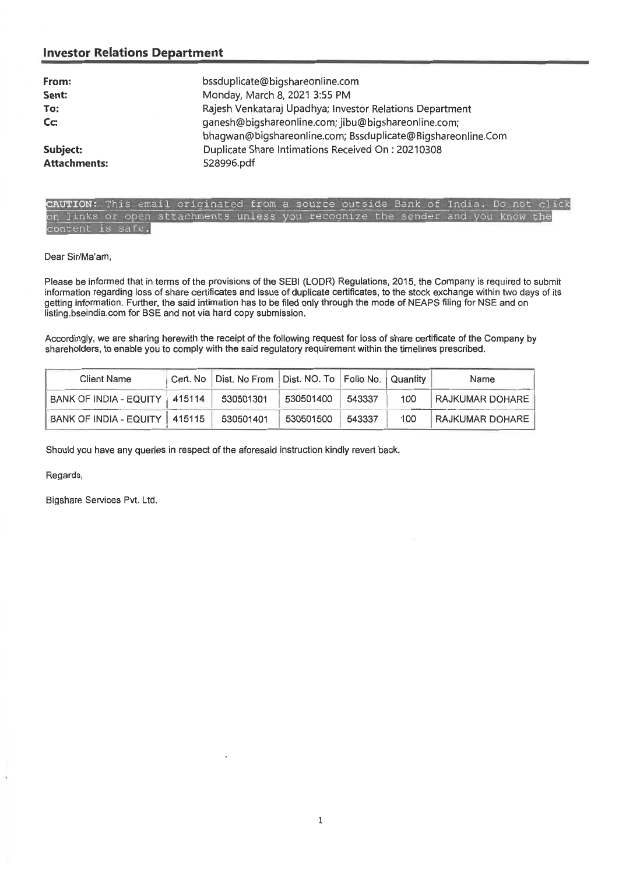#### **Investor Relations Department**

| From:<br>Sent:<br>To:<br>C <sub>C</sub> | bssduplicate@bigshareonline.com<br>Monday, March 8, 2021 3:55 PM<br>Rajesh Venkataraj Upadhya; Investor Relations Department<br>ganesh@bigshareonline.com; jibu@bigshareonline.com;<br>bhagwan@bigshareonline.com; Bssduplicate@Bigshareonline.Com |
|-----------------------------------------|----------------------------------------------------------------------------------------------------------------------------------------------------------------------------------------------------------------------------------------------------|
| Subject:                                | Duplicate Share Intimations Received On: 20210308                                                                                                                                                                                                  |
| <b>Attachments:</b>                     | 528996.pdf                                                                                                                                                                                                                                         |

**UTION:** This email originated from a source outside Bank of India. Do not click on links or open attachments unless you recognize the sender and you know the content is safe.

Dear Sir/Ma'am,

Please be informed that in terms of the provisions of the SEBI (LODR) Regulations, 2015, the Company is required to submit information regarding loss of share certificates and issue of duplicate certificates, to the stock exchange within two days of its getting information. Further, the said intimation has to be filed only through the mode of NEAPS filing for NSE and on listing.bseindia.com for BSE and not via hard copy submission.

Accordingly, we are sharing herewith the receipt of the following request for loss of share certificate of the Company by shareholders, to enable you to comply with the said regulatory requirement within the timelines prescribed.

| <b>Client Name</b>              | Cert. No   Dist. No From   Dist. NO. To   Folio No.   Quantity |           |        |     | Name                   |
|---------------------------------|----------------------------------------------------------------|-----------|--------|-----|------------------------|
| BANK OF INDIA - EQUITY 415114   | 530501301                                                      | 530501400 | 543337 | 100 | <b>RAJKUMAR DOHARE</b> |
| BANK OF INDIA - EQUITY   415115 | 530501401                                                      | 530501500 | 543337 | 100 | RAJKUMAR DOHARE        |

Should you have any queries in respect of the aforesaid instruction kindly revert back.

Regards,

Bigshare Services Pvt. Ltd.